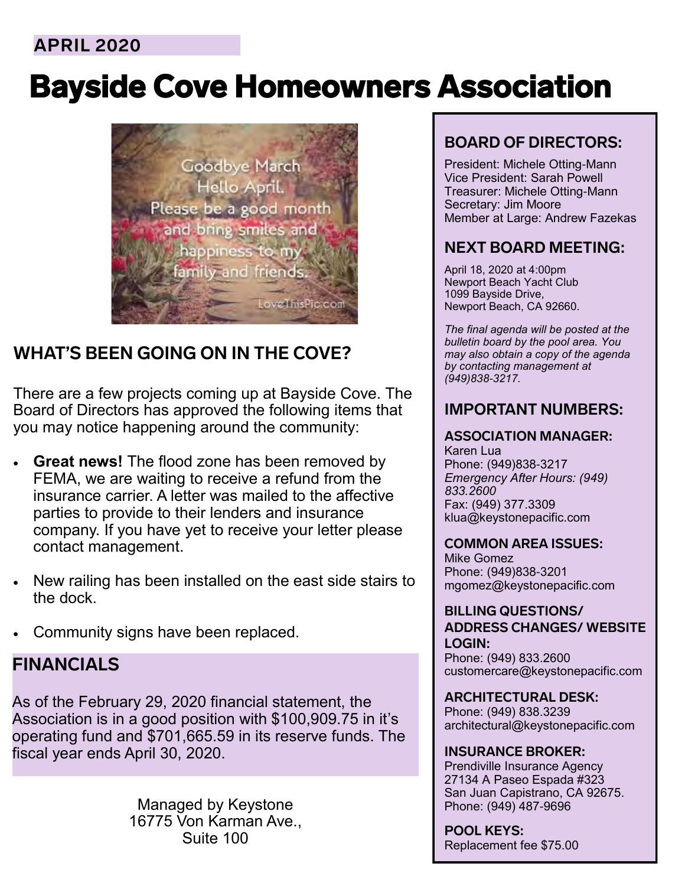# **APRIL 2020**

# Bayside Cove Homeowners Association



# **WHAT'S BEEN GOING ON IN THE COVE?**

There are a few projects coming up at Bayside Cove. The Board of Directors has approved the following items that you may notice happening around the community:

- **Great news!** The flood zone has been removed by FEMA, we are waiting to receive a refund from the insurance carrier. A letter was mailed to the affective parties to provide to their lenders and insurance company. If you have yet to receive your letter please contact management.
- New railing has been installed on the east side stairs to the dock.
- Community signs have been replaced.

## **FINANCIALS**

As of the February 29, 2020 financial statement, the Association is in a good position with \$100,909.75 in it's operating fund and \$701,665.59 in its reserve funds. The fiscal year ends April 30, 2020.

> Managed by Keystone 16775 Von Karman Ave., Suite 100

## **BOARD OF DIRECTORS:**

President: Michele Otting-Mann Vice President: Sarah Powell Treasurer: Michele Otting-Mann Secretary: Jim Moore Member at Large: Andrew Fazekas

## **NEXT BOARD MEETING:**

April 18, 2020 at 4:00pm Newport Beach Yacht Club 1099 Bayside Drive, Newport Beach, CA 92660.

*The final agenda will be posted at the bulletin board by the pool area. You may also obtain a copy of the agenda by contacting management at (949)838-3217.*

### **IMPORTANT NUMBERS:**

#### **ASSOCIATION MANAGER:**

Karen Lua Phone: (949)838-3217 *Emergency After Hours: (949) 833.2600* Fax: (949) 377.3309 klua@keystonepacific.com

#### **COMMON AREA ISSUES:**

Mike Gomez Phone: (949)838-3201 mgomez@keystonepacific.com

**BILLING QUESTIONS/ ADDRESS CHANGES/ WEBSITE LOGIN:** Phone: (949) 833.2600 customercare@keystonepacific.com

**ARCHITECTURAL DESK:** Phone: (949) 838.3239 architectural@keystonepacific.com

#### **INSURANCE BROKER:** Prendiville Insurance Agency 27134 A Paseo Espada #323 San Juan Capistrano, CA 92675. Phone: (949) 487-9696

**POOL KEYS:** Replacement fee \$75.00